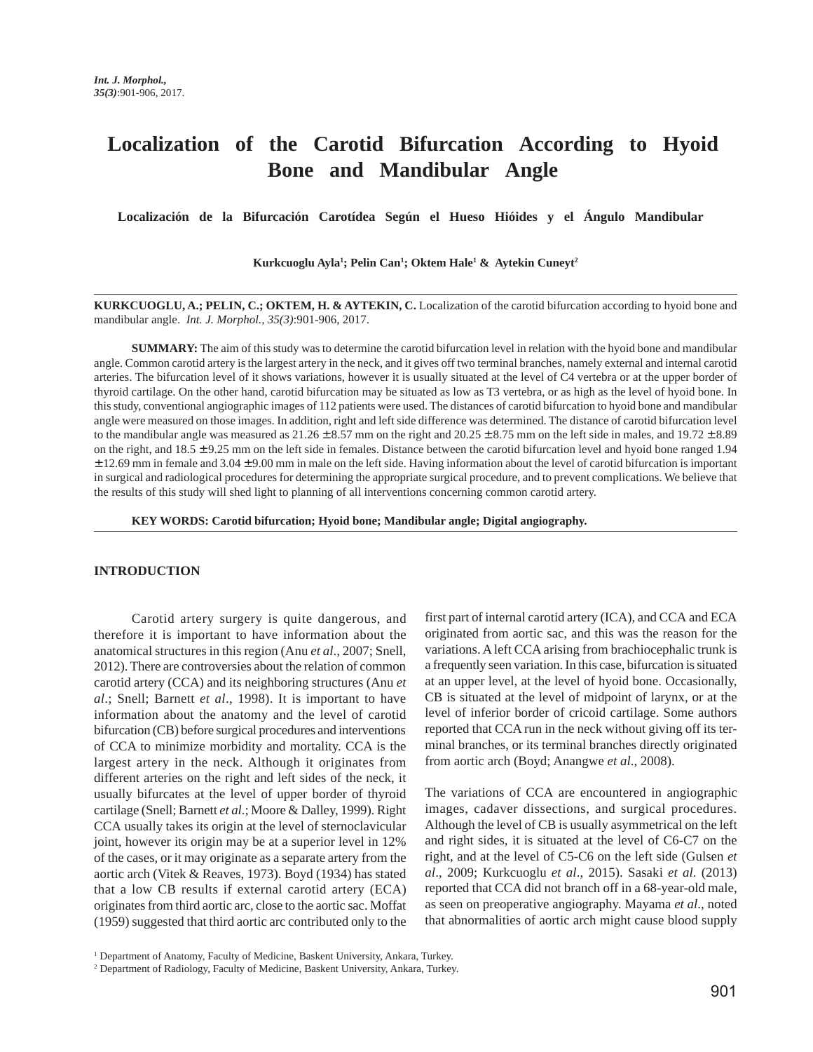# **Localization of the Carotid Bifurcation According to Hyoid Bone and Mandibular Angle**

**Localización de la Bifurcación Carotídea Según el Hueso Hióides y el Ángulo Mandibular**

**Kurkcuoglu Ayla1 ; Pelin Can1 ; Oktem Hale1 & Aytekin Cuneyt2**

**KURKCUOGLU, A.; PELIN, C.; OKTEM, H. & AYTEKIN, C.** Localization of the carotid bifurcation according to hyoid bone and mandibular angle. *Int. J. Morphol., 35(3)*:901-906, 2017.

**SUMMARY:** The aim of this study was to determine the carotid bifurcation level in relation with the hyoid bone and mandibular angle. Common carotid artery is the largest artery in the neck, and it gives off two terminal branches, namely external and internal carotid arteries. The bifurcation level of it shows variations, however it is usually situated at the level of C4 vertebra or at the upper border of thyroid cartilage. On the other hand, carotid bifurcation may be situated as low as T3 vertebra, or as high as the level of hyoid bone. In this study, conventional angiographic images of 112 patients were used. The distances of carotid bifurcation to hyoid bone and mandibular angle were measured on those images. In addition, right and left side difference was determined. The distance of carotid bifurcation level to the mandibular angle was measured as  $21.26 \pm 8.57$  mm on the right and  $20.25 \pm 8.75$  mm on the left side in males, and  $19.72 \pm 8.89$ on the right, and 18.5 ± 9.25 mm on the left side in females. Distance between the carotid bifurcation level and hyoid bone ranged 1.94  $\pm$  12.69 mm in female and 3.04  $\pm$  9.00 mm in male on the left side. Having information about the level of carotid bifurcation is important in surgical and radiological procedures for determining the appropriate surgical procedure, and to prevent complications. We believe that the results of this study will shed light to planning of all interventions concerning common carotid artery.

**KEY WORDS: Carotid bifurcation; Hyoid bone; Mandibular angle; Digital angiography.**

#### **INTRODUCTION**

Carotid artery surgery is quite dangerous, and therefore it is important to have information about the anatomical structures in this region (Anu *et al*., 2007; Snell, 2012). There are controversies about the relation of common carotid artery (CCA) and its neighboring structures (Anu *et al*.; Snell; Barnett *et al*., 1998). It is important to have information about the anatomy and the level of carotid bifurcation (CB) before surgical procedures and interventions of CCA to minimize morbidity and mortality. CCA is the largest artery in the neck. Although it originates from different arteries on the right and left sides of the neck, it usually bifurcates at the level of upper border of thyroid cartilage (Snell; Barnett *et al*.; Moore & Dalley, 1999). Right CCA usually takes its origin at the level of sternoclavicular joint, however its origin may be at a superior level in 12% of the cases, or it may originate as a separate artery from the aortic arch (Vitek & Reaves, 1973). Boyd (1934) has stated that a low CB results if external carotid artery (ECA) originates from third aortic arc, close to the aortic sac. Moffat (1959) suggested that third aortic arc contributed only to the

first part of internal carotid artery (ICA), and CCA and ECA originated from aortic sac, and this was the reason for the variations. A left CCA arising from brachiocephalic trunk is a frequently seen variation. In this case, bifurcation is situated at an upper level, at the level of hyoid bone. Occasionally, CB is situated at the level of midpoint of larynx, or at the level of inferior border of cricoid cartilage. Some authors reported that CCA run in the neck without giving off its terminal branches, or its terminal branches directly originated from aortic arch (Boyd; Anangwe *et al*., 2008).

The variations of CCA are encountered in angiographic images, cadaver dissections, and surgical procedures. Although the level of CB is usually asymmetrical on the left and right sides, it is situated at the level of C6-C7 on the right, and at the level of C5-C6 on the left side (Gulsen *et al*., 2009; Kurkcuoglu *et al*., 2015). Sasaki *et al*. (2013) reported that CCA did not branch off in a 68-year-old male, as seen on preoperative angiography. Mayama *et al*., noted that abnormalities of aortic arch might cause blood supply

<sup>&</sup>lt;sup>1</sup> Department of Anatomy, Faculty of Medicine, Baskent University, Ankara, Turkey.

<sup>2</sup> Department of Radiology, Faculty of Medicine, Baskent University, Ankara, Turkey.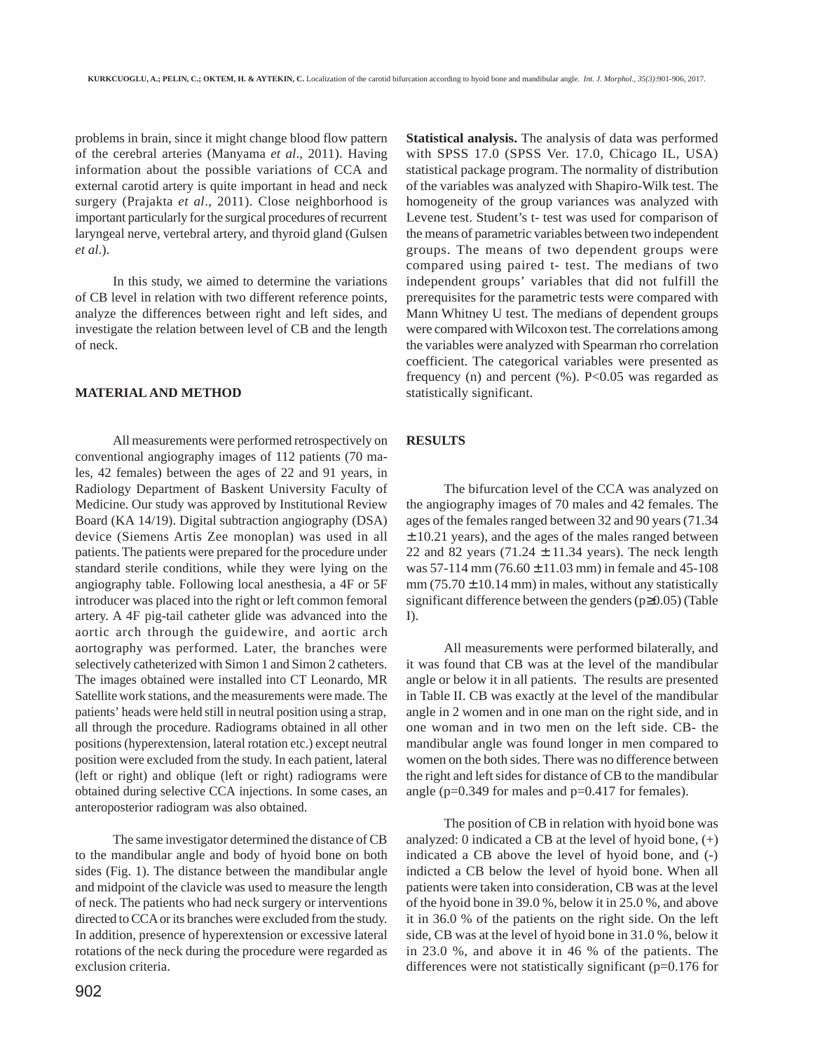problems in brain, since it might change blood flow pattern of the cerebral arteries (Manyama *et al*., 2011). Having information about the possible variations of CCA and external carotid artery is quite important in head and neck surgery (Prajakta *et al*., 2011). Close neighborhood is important particularly for the surgical procedures of recurrent laryngeal nerve, vertebral artery, and thyroid gland (Gulsen *et al*.).

In this study, we aimed to determine the variations of CB level in relation with two different reference points, analyze the differences between right and left sides, and investigate the relation between level of CB and the length of neck.

## **MATERIAL AND METHOD**

All measurements were performed retrospectively on conventional angiography images of 112 patients (70 males, 42 females) between the ages of 22 and 91 years, in Radiology Department of Baskent University Faculty of Medicine. Our study was approved by Institutional Review Board (KA 14/19). Digital subtraction angiography (DSA) device (Siemens Artis Zee monoplan) was used in all patients. The patients were prepared for the procedure under standard sterile conditions, while they were lying on the angiography table. Following local anesthesia, a 4F or 5F introducer was placed into the right or left common femoral artery. A 4F pig-tail catheter glide was advanced into the aortic arch through the guidewire, and aortic arch aortography was performed. Later, the branches were selectively catheterized with Simon 1 and Simon 2 catheters. The images obtained were installed into CT Leonardo, MR Satellite work stations, and the measurements were made. The patients' heads were held still in neutral position using a strap, all through the procedure. Radiograms obtained in all other positions (hyperextension, lateral rotation etc.) except neutral position were excluded from the study. In each patient, lateral (left or right) and oblique (left or right) radiograms were obtained during selective CCA injections. In some cases, an anteroposterior radiogram was also obtained.

The same investigator determined the distance of CB to the mandibular angle and body of hyoid bone on both sides (Fig. 1). The distance between the mandibular angle and midpoint of the clavicle was used to measure the length of neck. The patients who had neck surgery or interventions directed to CCA or its branches were excluded from the study. In addition, presence of hyperextension or excessive lateral rotations of the neck during the procedure were regarded as exclusion criteria.

**Statistical analysis.** The analysis of data was performed with SPSS 17.0 (SPSS Ver. 17.0, Chicago IL, USA) statistical package program. The normality of distribution of the variables was analyzed with Shapiro-Wilk test. The homogeneity of the group variances was analyzed with Levene test. Student's t- test was used for comparison of the means of parametric variables between two independent groups. The means of two dependent groups were compared using paired t- test. The medians of two independent groups' variables that did not fulfill the prerequisites for the parametric tests were compared with Mann Whitney U test. The medians of dependent groups were compared with Wilcoxon test. The correlations among the variables were analyzed with Spearman rho correlation coefficient. The categorical variables were presented as frequency (n) and percent  $(\%)$ . P<0.05 was regarded as statistically significant.

#### **RESULTS**

The bifurcation level of the CCA was analyzed on the angiography images of 70 males and 42 females. The ages of the females ranged between 32 and 90 years (71.34 ± 10.21 years), and the ages of the males ranged between 22 and 82 years  $(71.24 \pm 11.34 \text{ years})$ . The neck length was  $57-114$  mm  $(76.60 \pm 11.03$  mm) in female and 45-108 mm  $(75.70 \pm 10.14 \text{ mm})$  in males, without any statistically significant difference between the genders (p≥0.05) (Table I).

All measurements were performed bilaterally, and it was found that CB was at the level of the mandibular angle or below it in all patients. The results are presented in Table II. CB was exactly at the level of the mandibular angle in 2 women and in one man on the right side, and in one woman and in two men on the left side. CB- the mandibular angle was found longer in men compared to women on the both sides. There was no difference between the right and left sides for distance of CB to the mandibular angle ( $p=0.349$  for males and  $p=0.417$  for females).

The position of CB in relation with hyoid bone was analyzed: 0 indicated a CB at the level of hyoid bone,  $(+)$ indicated a CB above the level of hyoid bone, and (-) indicted a CB below the level of hyoid bone. When all patients were taken into consideration, CB was at the level of the hyoid bone in 39.0 %, below it in 25.0 %, and above it in 36.0 % of the patients on the right side. On the left side, CB was at the level of hyoid bone in 31.0 %, below it in 23.0 %, and above it in 46 % of the patients. The differences were not statistically significant (p=0.176 for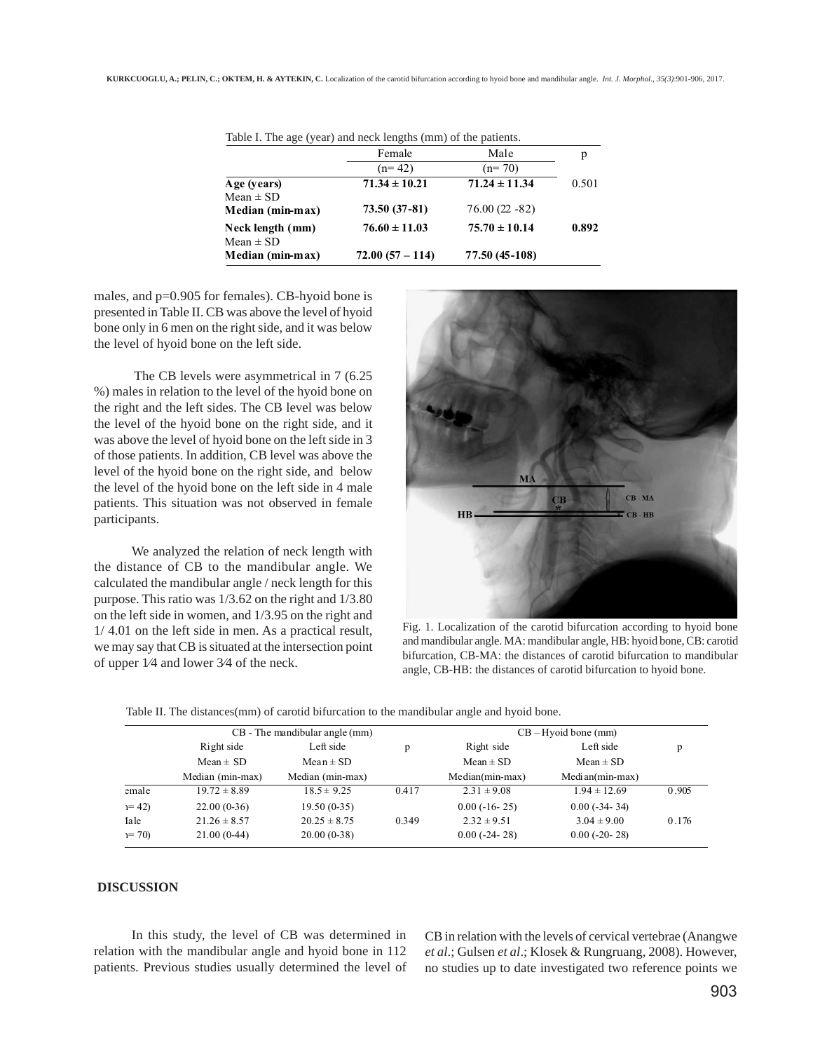| racio i: The age () car) and neen fengths (film) of the patients. |                   |                   |       |  |  |  |
|-------------------------------------------------------------------|-------------------|-------------------|-------|--|--|--|
|                                                                   | Female            | Male              | p     |  |  |  |
|                                                                   | $(n=42)$          | $(n=70)$          |       |  |  |  |
| Age (years)                                                       | $71.34 \pm 10.21$ | $71.24 \pm 11.34$ | 0.501 |  |  |  |
| $Mean \pm SD$                                                     |                   |                   |       |  |  |  |
| Median (min-max)                                                  | 73.50 (37-81)     | $76.00(22 - 82)$  |       |  |  |  |
| Neck length (mm)                                                  | $76.60 \pm 11.03$ | $75.70 \pm 10.14$ | 0.892 |  |  |  |
| Mean $\pm$ SD                                                     |                   |                   |       |  |  |  |
| Median (min-max)                                                  | $72.00(57 - 114)$ | 77.50 (45-108)    |       |  |  |  |

Table I. The age (year) and neck lengths (mm) of the patients.

males, and  $p=0.905$  for females). CB-hyoid bone is presented in Table II. CB was above the level of hyoid bone only in 6 men on the right side, and it was below the level of hyoid bone on the left side.

 The CB levels were asymmetrical in 7 (6.25 %) males in relation to the level of the hyoid bone on the right and the left sides. The CB level was below the level of the hyoid bone on the right side, and it was above the level of hyoid bone on the left side in 3 of those patients. In addition, CB level was above the level of the hyoid bone on the right side, and below the level of the hyoid bone on the left side in 4 male patients. This situation was not observed in female participants.

We analyzed the relation of neck length with the distance of CB to the mandibular angle. We calculated the mandibular angle / neck length for this purpose. This ratio was 1/3.62 on the right and 1/3.80 on the left side in women, and 1/3.95 on the right and 1/ 4.01 on the left side in men. As a practical result, we may say that CB is situated at the intersection point of upper 1⁄4 and lower 3⁄4 of the neck.



Fig. 1. Localization of the carotid bifurcation according to hyoid bone and mandibular angle. MA: mandibular angle, HB: hyoid bone, CB: carotid bifurcation, CB-MA: the distances of carotid bifurcation to mandibular angle, CB-HB: the distances of carotid bifurcation to hyoid bone.

|             | $CB$ - The mandibular angle $(mm)$ |                  | $CB - H$ yoid bone (mm) |                 |                  |       |
|-------------|------------------------------------|------------------|-------------------------|-----------------|------------------|-------|
|             | Right side                         | Left side        | p                       | Right side      | Left side        |       |
|             | $Mean \pm SD$                      | $Mean \pm SD$    |                         | $Mean \pm SD$   | $Mean \pm SD$    |       |
|             | Median (min-max)                   | Median (min-max) |                         | Median(min-max) | Median(min-max)  |       |
| emale       | $19.72 \pm 8.89$                   | $18.5 \pm 9.25$  | 0.417                   | $2.31 \pm 9.08$ | $1.94 \pm 12.69$ | 0.905 |
| $i=42$      | $22.00(0-36)$                      | $19.50(0-35)$    |                         | $0.00(-16-25)$  | $0.00(-34-34)$   |       |
| <b>fale</b> | $21.26 \pm 8.57$                   | $20.25 \pm 8.75$ | 0.349                   | $2.32 \pm 9.51$ | $3.04 \pm 9.00$  | 0.176 |
| $= 70$      | $21.00(0-44)$                      | $20.00(0-38)$    |                         | $0.00(-24-28)$  | $0.00(-20-28)$   |       |

Table II. The distances(mm) of carotid bifurcation to the mandibular angle and hyoid bone.

## **DISCUSSION**

In this study, the level of CB was determined in relation with the mandibular angle and hyoid bone in 112 patients. Previous studies usually determined the level of CB in relation with the levels of cervical vertebrae (Anangwe *et al*.; Gulsen *et al*.; Klosek & Rungruang, 2008). However, no studies up to date investigated two reference points we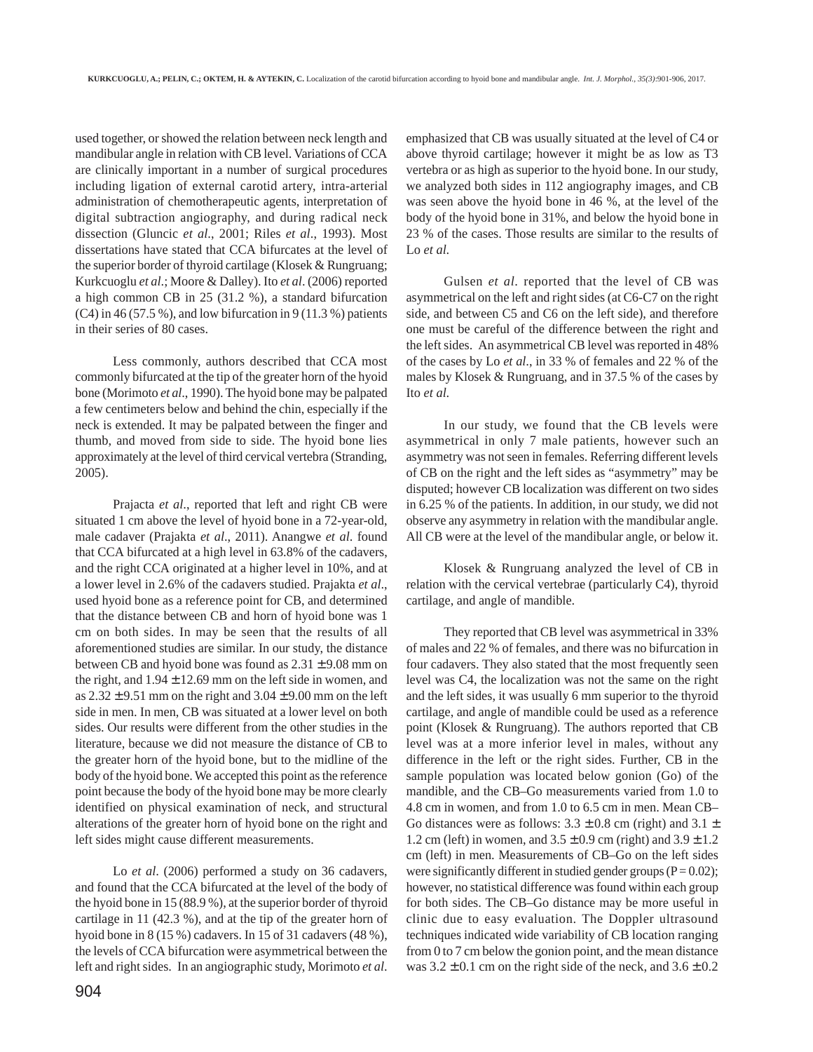used together, or showed the relation between neck length and mandibular angle in relation with CB level. Variations of CCA are clinically important in a number of surgical procedures including ligation of external carotid artery, intra-arterial administration of chemotherapeutic agents, interpretation of digital subtraction angiography, and during radical neck dissection (Gluncic *et al*., 2001; Riles *et al*., 1993). Most dissertations have stated that CCA bifurcates at the level of the superior border of thyroid cartilage (Klosek & Rungruang; Kurkcuoglu *et al*.; Moore & Dalley). Ito *et al*. (2006) reported a high common CB in 25 (31.2 %), a standard bifurcation (C4) in 46 (57.5 %), and low bifurcation in 9 (11.3 %) patients in their series of 80 cases.

Less commonly, authors described that CCA most commonly bifurcated at the tip of the greater horn of the hyoid bone (Morimoto *et al*., 1990). The hyoid bone may be palpated a few centimeters below and behind the chin, especially if the neck is extended. It may be palpated between the finger and thumb, and moved from side to side. The hyoid bone lies approximately at the level of third cervical vertebra (Stranding, 2005).

Prajacta *et al*., reported that left and right CB were situated 1 cm above the level of hyoid bone in a 72-year-old, male cadaver (Prajakta *et al*., 2011). Anangwe *et al*. found that CCA bifurcated at a high level in 63.8% of the cadavers, and the right CCA originated at a higher level in 10%, and at a lower level in 2.6% of the cadavers studied. Prajakta *et al*., used hyoid bone as a reference point for CB, and determined that the distance between CB and horn of hyoid bone was 1 cm on both sides. In may be seen that the results of all aforementioned studies are similar. In our study, the distance between CB and hyoid bone was found as  $2.31 \pm 9.08$  mm on the right, and  $1.94 \pm 12.69$  mm on the left side in women, and as  $2.32 \pm 9.51$  mm on the right and  $3.04 \pm 9.00$  mm on the left side in men. In men, CB was situated at a lower level on both sides. Our results were different from the other studies in the literature, because we did not measure the distance of CB to the greater horn of the hyoid bone, but to the midline of the body of the hyoid bone. We accepted this point as the reference point because the body of the hyoid bone may be more clearly identified on physical examination of neck, and structural alterations of the greater horn of hyoid bone on the right and left sides might cause different measurements.

Lo *et al*. (2006) performed a study on 36 cadavers, and found that the CCA bifurcated at the level of the body of the hyoid bone in 15 (88.9 %), at the superior border of thyroid cartilage in 11 (42.3 %), and at the tip of the greater horn of hyoid bone in 8 (15 %) cadavers. In 15 of 31 cadavers (48 %), the levels of CCA bifurcation were asymmetrical between the left and right sides. In an angiographic study, Morimoto *et al*.

emphasized that CB was usually situated at the level of C4 or above thyroid cartilage; however it might be as low as T3 vertebra or as high as superior to the hyoid bone. In our study, we analyzed both sides in 112 angiography images, and CB was seen above the hyoid bone in 46 %, at the level of the body of the hyoid bone in 31%, and below the hyoid bone in 23 % of the cases. Those results are similar to the results of Lo *et al*.

Gulsen *et al*. reported that the level of CB was asymmetrical on the left and right sides (at C6-C7 on the right side, and between C5 and C6 on the left side), and therefore one must be careful of the difference between the right and the left sides. An asymmetrical CB level was reported in 48% of the cases by Lo *et al*., in 33 % of females and 22 % of the males by Klosek & Rungruang, and in 37.5 % of the cases by Ito *et al*.

In our study, we found that the CB levels were asymmetrical in only 7 male patients, however such an asymmetry was not seen in females. Referring different levels of CB on the right and the left sides as "asymmetry" may be disputed; however CB localization was different on two sides in 6.25 % of the patients. In addition, in our study, we did not observe any asymmetry in relation with the mandibular angle. All CB were at the level of the mandibular angle, or below it.

Klosek & Rungruang analyzed the level of CB in relation with the cervical vertebrae (particularly C4), thyroid cartilage, and angle of mandible.

They reported that CB level was asymmetrical in 33% of males and 22 % of females, and there was no bifurcation in four cadavers. They also stated that the most frequently seen level was C4, the localization was not the same on the right and the left sides, it was usually 6 mm superior to the thyroid cartilage, and angle of mandible could be used as a reference point (Klosek & Rungruang). The authors reported that CB level was at a more inferior level in males, without any difference in the left or the right sides. Further, CB in the sample population was located below gonion (Go) of the mandible, and the CB–Go measurements varied from 1.0 to 4.8 cm in women, and from 1.0 to 6.5 cm in men. Mean CB– Go distances were as follows:  $3.3 \pm 0.8$  cm (right) and  $3.1 \pm$ 1.2 cm (left) in women, and  $3.5 \pm 0.9$  cm (right) and  $3.9 \pm 1.2$ cm (left) in men. Measurements of CB–Go on the left sides were significantly different in studied gender groups  $(P = 0.02)$ ; however, no statistical difference was found within each group for both sides. The CB–Go distance may be more useful in clinic due to easy evaluation. The Doppler ultrasound techniques indicated wide variability of CB location ranging from 0 to 7 cm below the gonion point, and the mean distance was  $3.2 \pm 0.1$  cm on the right side of the neck, and  $3.6 \pm 0.2$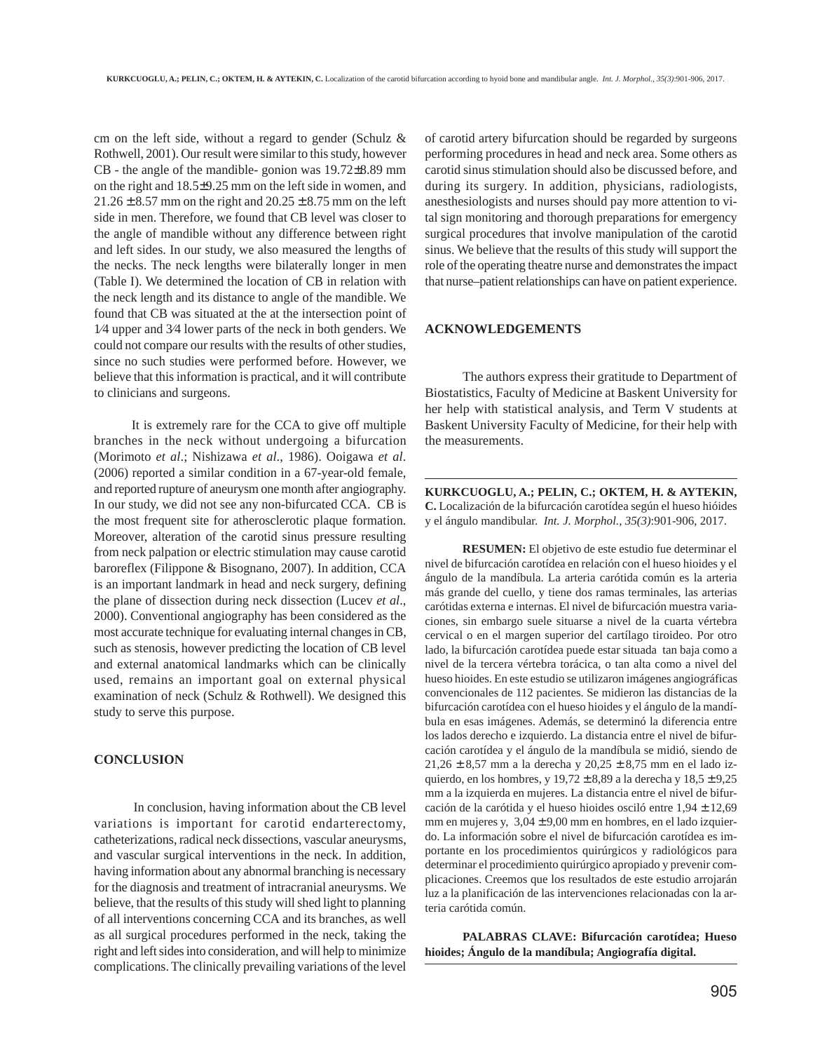cm on the left side, without a regard to gender (Schulz & Rothwell, 2001). Our result were similar to this study, however CB - the angle of the mandible- gonion was 19.72±8.89 mm on the right and 18.5±9.25 mm on the left side in women, and  $21.26 \pm 8.57$  mm on the right and  $20.25 \pm 8.75$  mm on the left side in men. Therefore, we found that CB level was closer to the angle of mandible without any difference between right and left sides. In our study, we also measured the lengths of the necks. The neck lengths were bilaterally longer in men (Table I). We determined the location of CB in relation with the neck length and its distance to angle of the mandible. We found that CB was situated at the at the intersection point of 1⁄4 upper and 3⁄4 lower parts of the neck in both genders. We could not compare our results with the results of other studies, since no such studies were performed before. However, we believe that this information is practical, and it will contribute to clinicians and surgeons.

It is extremely rare for the CCA to give off multiple branches in the neck without undergoing a bifurcation (Morimoto *et al*.; Nishizawa *et al*., 1986). Ooigawa *et al*. (2006) reported a similar condition in a 67-year-old female, and reported rupture of aneurysm one month after angiography. In our study, we did not see any non-bifurcated CCA. CB is the most frequent site for atherosclerotic plaque formation. Moreover, alteration of the carotid sinus pressure resulting from neck palpation or electric stimulation may cause carotid baroreflex (Filippone & Bisognano, 2007). In addition, CCA is an important landmark in head and neck surgery, defining the plane of dissection during neck dissection (Lucev *et al*., 2000). Conventional angiography has been considered as the most accurate technique for evaluating internal changes in CB, such as stenosis, however predicting the location of CB level and external anatomical landmarks which can be clinically used, remains an important goal on external physical examination of neck (Schulz & Rothwell). We designed this study to serve this purpose.

# **CONCLUSION**

In conclusion, having information about the CB level variations is important for carotid endarterectomy, catheterizations, radical neck dissections, vascular aneurysms, and vascular surgical interventions in the neck. In addition, having information about any abnormal branching is necessary for the diagnosis and treatment of intracranial aneurysms. We believe, that the results of this study will shed light to planning of all interventions concerning CCA and its branches, as well as all surgical procedures performed in the neck, taking the right and left sides into consideration, and will help to minimize complications. The clinically prevailing variations of the level

of carotid artery bifurcation should be regarded by surgeons performing procedures in head and neck area. Some others as carotid sinus stimulation should also be discussed before, and during its surgery. In addition, physicians, radiologists, anesthesiologists and nurses should pay more attention to vital sign monitoring and thorough preparations for emergency surgical procedures that involve manipulation of the carotid sinus. We believe that the results of this study will support the role of the operating theatre nurse and demonstrates the impact that nurse–patient relationships can have on patient experience.

### **ACKNOWLEDGEMENTS**

The authors express their gratitude to Department of Biostatistics, Faculty of Medicine at Baskent University for her help with statistical analysis, and Term V students at Baskent University Faculty of Medicine, for their help with the measurements.

**KURKCUOGLU, A.; PELIN, C.; OKTEM, H. & AYTEKIN, C.** Localización de la bifurcación carotídea según el hueso hióides y el ángulo mandibular. *Int. J. Morphol., 35(3)*:901-906, 2017.

**RESUMEN:** El objetivo de este estudio fue determinar el nivel de bifurcación carotídea en relación con el hueso hioides y el ángulo de la mandíbula. La arteria carótida común es la arteria más grande del cuello, y tiene dos ramas terminales, las arterias carótidas externa e internas. El nivel de bifurcación muestra variaciones, sin embargo suele situarse a nivel de la cuarta vértebra cervical o en el margen superior del cartílago tiroideo. Por otro lado, la bifurcación carotídea puede estar situada tan baja como a nivel de la tercera vértebra torácica, o tan alta como a nivel del hueso hioides. En este estudio se utilizaron imágenes angiográficas convencionales de 112 pacientes. Se midieron las distancias de la bifurcación carotídea con el hueso hioides y el ángulo de la mandíbula en esas imágenes. Además, se determinó la diferencia entre los lados derecho e izquierdo. La distancia entre el nivel de bifurcación carotídea y el ángulo de la mandíbula se midió, siendo de  $21,26 \pm 8,57$  mm a la derecha y  $20,25 \pm 8,75$  mm en el lado izquierdo, en los hombres, y  $19,72 \pm 8,89$  a la derecha y  $18,5 \pm 9,25$ mm a la izquierda en mujeres. La distancia entre el nivel de bifurcación de la carótida y el hueso hioides osciló entre 1,94 ± 12,69 mm en mujeres y,  $3,04 \pm 9,00$  mm en hombres, en el lado izquierdo. La información sobre el nivel de bifurcación carotídea es importante en los procedimientos quirúrgicos y radiológicos para determinar el procedimiento quirúrgico apropiado y prevenir complicaciones. Creemos que los resultados de este estudio arrojarán luz a la planificación de las intervenciones relacionadas con la arteria carótida común.

**PALABRAS CLAVE: Bifurcación carotídea; Hueso hioides; Ángulo de la mandíbula; Angiografía digital.**